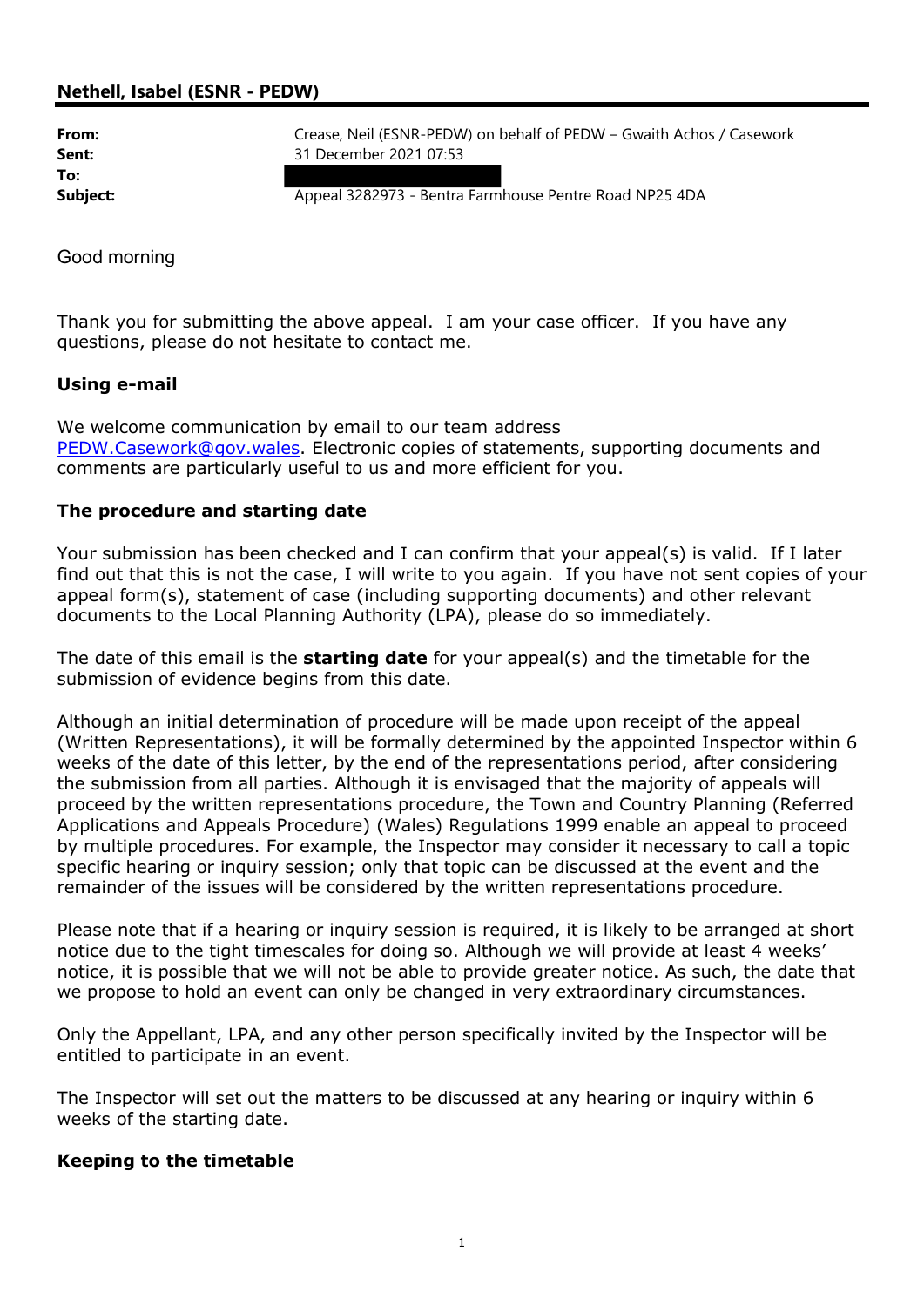# Nethell, Isabel (ESNR - PEDW)

To:

From: Crease, Neil (ESNR-PEDW) on behalf of PEDW – Gwaith Achos / Casework Sent: 31 December 2021 07:53

Subject: **Appeal 3282973 - Bentra Farmhouse Pentre Road NP25 4DA** 

Good morning

Thank you for submitting the above appeal. I am your case officer. If you have any questions, please do not hesitate to contact me.

#### Using e-mail

We welcome communication by email to our team address PEDW.Casework@gov.wales. Electronic copies of statements, supporting documents and comments are particularly useful to us and more efficient for you.

#### The procedure and starting date

Your submission has been checked and I can confirm that your appeal(s) is valid. If I later find out that this is not the case, I will write to you again. If you have not sent copies of your appeal form(s), statement of case (including supporting documents) and other relevant documents to the Local Planning Authority (LPA), please do so immediately.

The date of this email is the **starting date** for your appeal(s) and the timetable for the submission of evidence begins from this date.

Although an initial determination of procedure will be made upon receipt of the appeal (Written Representations), it will be formally determined by the appointed Inspector within 6 weeks of the date of this letter, by the end of the representations period, after considering the submission from all parties. Although it is envisaged that the majority of appeals will proceed by the written representations procedure, the Town and Country Planning (Referred Applications and Appeals Procedure) (Wales) Regulations 1999 enable an appeal to proceed by multiple procedures. For example, the Inspector may consider it necessary to call a topic specific hearing or inquiry session; only that topic can be discussed at the event and the remainder of the issues will be considered by the written representations procedure.

Please note that if a hearing or inquiry session is required, it is likely to be arranged at short notice due to the tight timescales for doing so. Although we will provide at least 4 weeks' notice, it is possible that we will not be able to provide greater notice. As such, the date that we propose to hold an event can only be changed in very extraordinary circumstances.

Only the Appellant, LPA, and any other person specifically invited by the Inspector will be entitled to participate in an event.

The Inspector will set out the matters to be discussed at any hearing or inquiry within 6 weeks of the starting date.

### Keeping to the timetable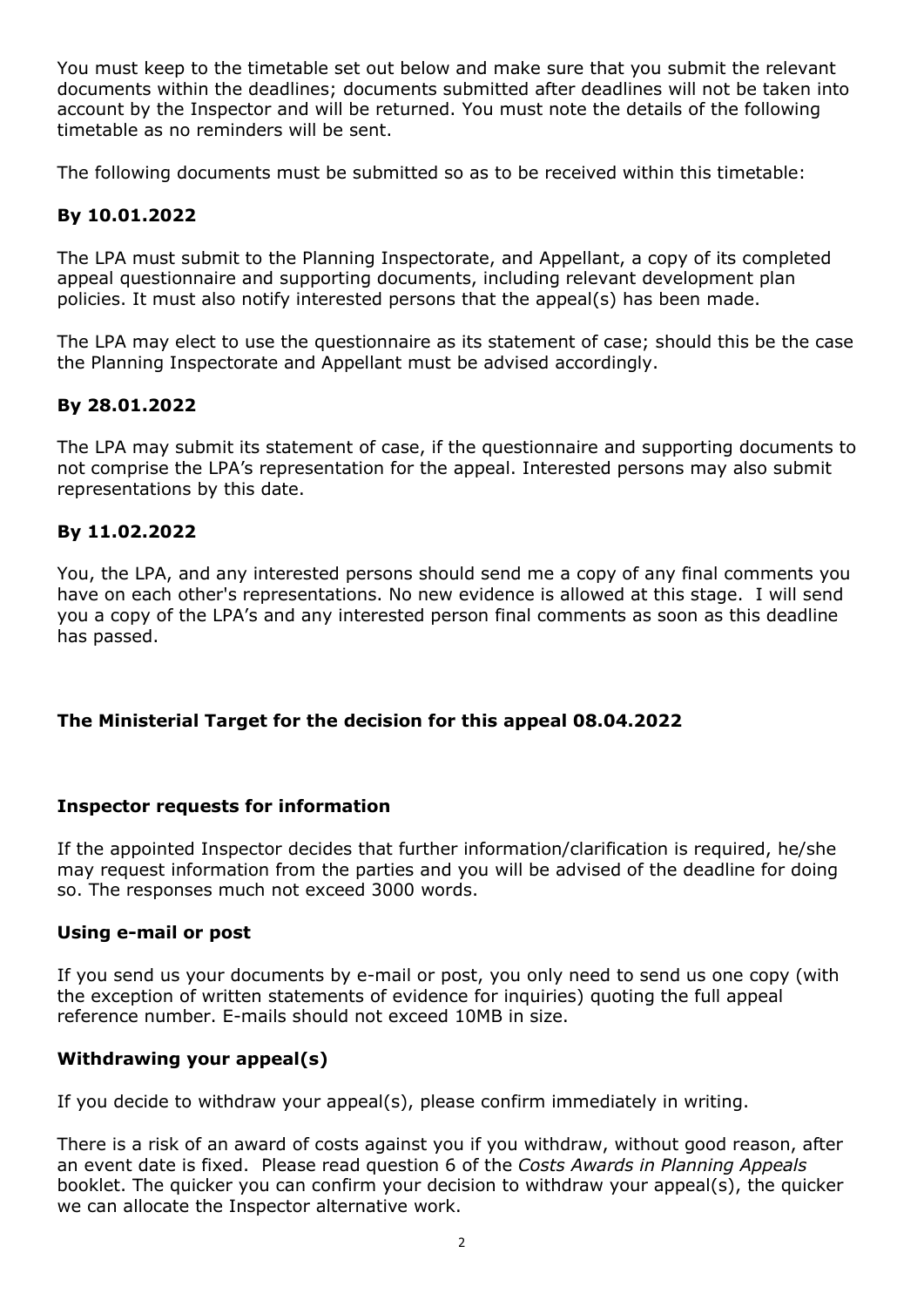You must keep to the timetable set out below and make sure that you submit the relevant documents within the deadlines; documents submitted after deadlines will not be taken into account by the Inspector and will be returned. You must note the details of the following timetable as no reminders will be sent.

The following documents must be submitted so as to be received within this timetable:

# By 10.01.2022

The LPA must submit to the Planning Inspectorate, and Appellant, a copy of its completed appeal questionnaire and supporting documents, including relevant development plan policies. It must also notify interested persons that the appeal(s) has been made.

The LPA may elect to use the questionnaire as its statement of case; should this be the case the Planning Inspectorate and Appellant must be advised accordingly.

# By 28.01.2022

The LPA may submit its statement of case, if the questionnaire and supporting documents to not comprise the LPA's representation for the appeal. Interested persons may also submit representations by this date.

### By 11.02.2022

You, the LPA, and any interested persons should send me a copy of any final comments you have on each other's representations. No new evidence is allowed at this stage. I will send you a copy of the LPA's and any interested person final comments as soon as this deadline has passed.

### The Ministerial Target for the decision for this appeal 08.04.2022

### Inspector requests for information

If the appointed Inspector decides that further information/clarification is required, he/she may request information from the parties and you will be advised of the deadline for doing so. The responses much not exceed 3000 words.

### Using e-mail or post

If you send us your documents by e-mail or post, you only need to send us one copy (with the exception of written statements of evidence for inquiries) quoting the full appeal reference number. E-mails should not exceed 10MB in size.

### Withdrawing your appeal(s)

If you decide to withdraw your appeal(s), please confirm immediately in writing.

There is a risk of an award of costs against you if you withdraw, without good reason, after an event date is fixed. Please read question 6 of the Costs Awards in Planning Appeals booklet. The quicker you can confirm your decision to withdraw your appeal(s), the quicker we can allocate the Inspector alternative work.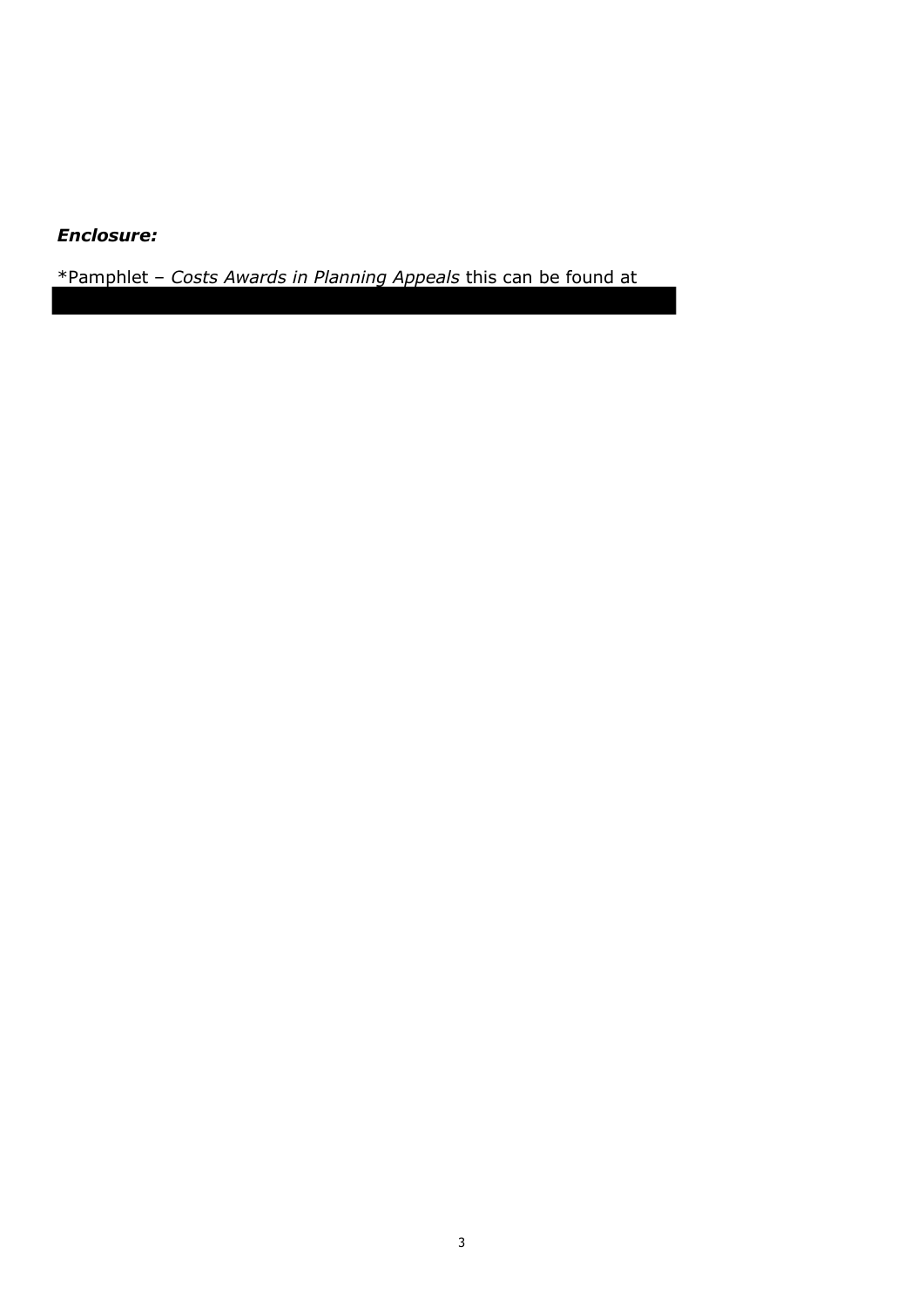# Enclosure:

\*Pamphlet – Costs Awards in Planning Appeals this can be found at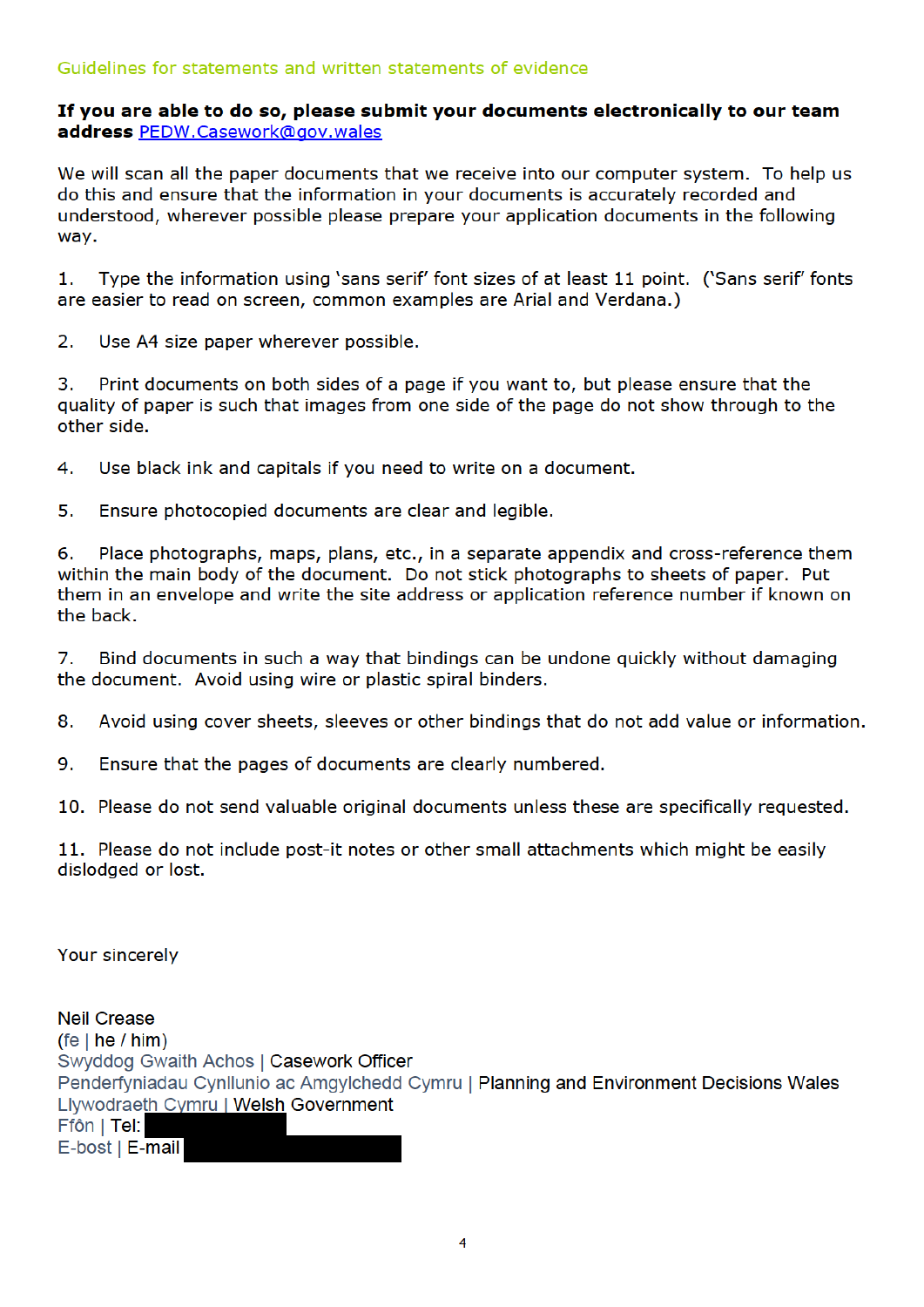# If you are able to do so, please submit your documents electronically to our team address PEDW.Casework@gov.wales

We will scan all the paper documents that we receive into our computer system. To help us do this and ensure that the information in your documents is accurately recorded and understood, wherever possible please prepare your application documents in the following way.

Type the information using 'sans serif' font sizes of at least 11 point. ('Sans serif' fonts 1. are easier to read on screen, common examples are Arial and Verdana.)

Use A4 size paper wherever possible.  $2.$ 

Print documents on both sides of a page if you want to, but please ensure that the 3. quality of paper is such that images from one side of the page do not show through to the other side.

Use black ink and capitals if you need to write on a document.  $4<sub>1</sub>$ 

5. Ensure photocopied documents are clear and legible.

6. Place photographs, maps, plans, etc., in a separate appendix and cross-reference them within the main body of the document. Do not stick photographs to sheets of paper. Put them in an envelope and write the site address or application reference number if known on the back.

 $\overline{7}$ Bind documents in such a way that bindings can be undone quickly without damaging the document. Avoid using wire or plastic spiral binders.

- 8. Avoid using cover sheets, sleeves or other bindings that do not add value or information.
- Ensure that the pages of documents are clearly numbered. 9.

10. Please do not send valuable original documents unless these are specifically requested.

11. Please do not include post-it notes or other small attachments which might be easily dislodged or lost.

Your sincerely

**Neil Crease**  $(fe \mid he / him)$ Swyddog Gwaith Achos | Casework Officer Penderfyniadau Cynllunio ac Amgylchedd Cymru | Planning and Environment Decisions Wales Llywodraeth Cymru | Welsh Government Ffôn | Tel: E-bost | E-mail